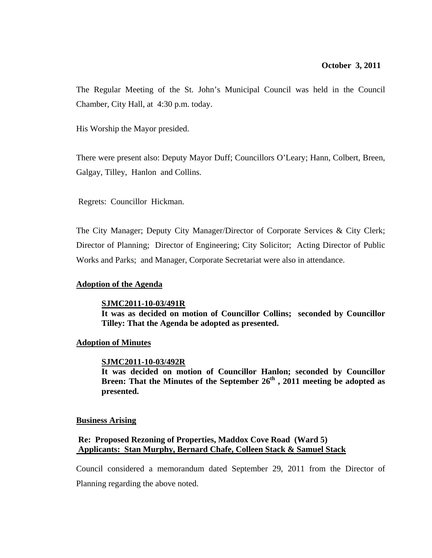The Regular Meeting of the St. John's Municipal Council was held in the Council Chamber, City Hall, at 4:30 p.m. today.

His Worship the Mayor presided.

There were present also: Deputy Mayor Duff; Councillors O'Leary; Hann, Colbert, Breen, Galgay, Tilley, Hanlon and Collins.

Regrets: Councillor Hickman.

The City Manager; Deputy City Manager/Director of Corporate Services & City Clerk; Director of Planning; Director of Engineering; City Solicitor; Acting Director of Public Works and Parks; and Manager, Corporate Secretariat were also in attendance.

### **Adoption of the Agenda**

### **SJMC2011-10-03/491R**

**It was as decided on motion of Councillor Collins; seconded by Councillor Tilley: That the Agenda be adopted as presented.** 

### **Adoption of Minutes**

### **SJMC2011-10-03/492R**

**It was decided on motion of Councillor Hanlon; seconded by Councillor Breen: That the Minutes of the September 26<sup>th</sup>, 2011 meeting be adopted as presented.** 

### **Business Arising**

# **Re: Proposed Rezoning of Properties, Maddox Cove Road (Ward 5) Applicants: Stan Murphy, Bernard Chafe, Colleen Stack & Samuel Stack**

Council considered a memorandum dated September 29, 2011 from the Director of Planning regarding the above noted.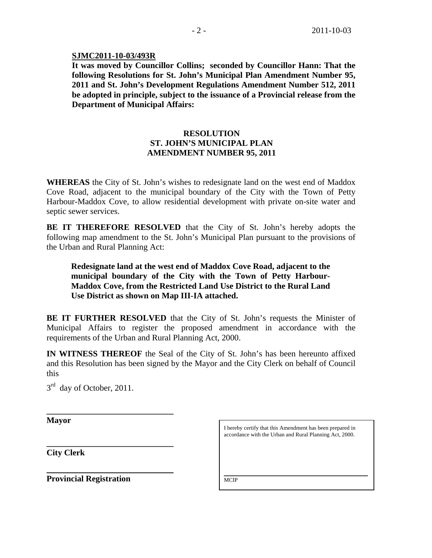### **SJMC2011-10-03/493R**

**It was moved by Councillor Collins; seconded by Councillor Hann: That the following Resolutions for St. John's Municipal Plan Amendment Number 95, 2011 and St. John's Development Regulations Amendment Number 512, 2011 be adopted in principle, subject to the issuance of a Provincial release from the Department of Municipal Affairs:** 

# **RESOLUTION ST. JOHN'S MUNICIPAL PLAN AMENDMENT NUMBER 95, 2011**

**WHEREAS** the City of St. John's wishes to redesignate land on the west end of Maddox Cove Road, adjacent to the municipal boundary of the City with the Town of Petty Harbour-Maddox Cove, to allow residential development with private on-site water and septic sewer services.

**BE IT THEREFORE RESOLVED** that the City of St. John's hereby adopts the following map amendment to the St. John's Municipal Plan pursuant to the provisions of the Urban and Rural Planning Act:

**Redesignate land at the west end of Maddox Cove Road, adjacent to the municipal boundary of the City with the Town of Petty Harbour-Maddox Cove, from the Restricted Land Use District to the Rural Land Use District as shown on Map III-IA attached.**

**BE IT FURTHER RESOLVED** that the City of St. John's requests the Minister of Municipal Affairs to register the proposed amendment in accordance with the requirements of the Urban and Rural Planning Act, 2000.

**IN WITNESS THEREOF** the Seal of the City of St. John's has been hereunto affixed and this Resolution has been signed by the Mayor and the City Clerk on behalf of Council this

 $3<sup>rd</sup>$  day of October, 2011.

**\_\_\_\_\_\_\_\_\_\_\_\_\_\_\_\_\_\_\_\_\_\_\_\_\_\_\_\_\_\_** 

**\_\_\_\_\_\_\_\_\_\_\_\_\_\_\_\_\_\_\_\_\_\_\_\_\_\_\_\_\_\_** 

**Mayor** 

 $\overline{a}$ 

**City Clerk**

**Provincial Registration** 

I hereby certify that this Amendment has been prepared in accordance with the Urban and Rural Planning Act, 2000.

\_\_\_\_\_\_\_\_\_\_\_\_\_\_\_\_\_\_\_\_\_\_\_\_\_\_\_\_\_\_\_\_\_\_\_\_\_\_\_\_\_\_\_\_\_\_\_\_\_\_\_

**MCIP**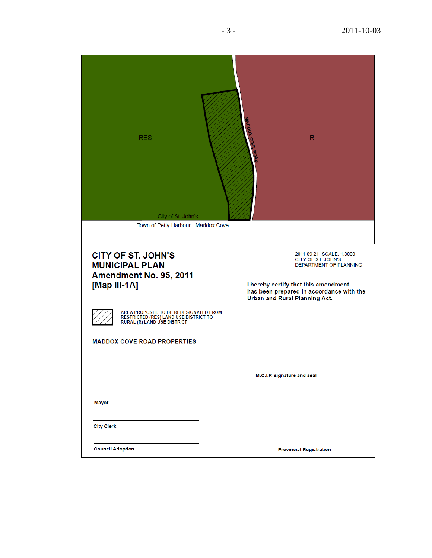| <b>RES</b><br>City of St. John's<br>Town of Petty Harbour - Maddox Cove                                              | <b>MADDOX COVE</b><br>R                                                                                                                                                                       |
|----------------------------------------------------------------------------------------------------------------------|-----------------------------------------------------------------------------------------------------------------------------------------------------------------------------------------------|
| <b>CITY OF ST. JOHN'S</b><br><b>MUNICIPAL PLAN</b><br>Amendment No. 95, 2011<br>[Map III-1A]                         | 2011 09 21 SCALE: 1:3000<br>CITY OF ST. JOHN'S<br>DEPARTMENT OF PLANNING<br>I hereby certify that this amendment<br>has been prepared in accordance with the<br>Urban and Rural Planning Act. |
| AREA PROPOSED TO BE REDESIGNATED FROM<br>RESTRICTED (RES) LAND USE DISTRICT TO<br><b>RURAL (R) LAND USE DISTRICT</b> |                                                                                                                                                                                               |
| <b>MADDOX COVE ROAD PROPERTIES</b>                                                                                   |                                                                                                                                                                                               |
|                                                                                                                      | M.C.I.P. signature and seal                                                                                                                                                                   |
| <b>Mayor</b>                                                                                                         |                                                                                                                                                                                               |
| <b>City Clerk</b>                                                                                                    |                                                                                                                                                                                               |
| <b>Council Adoption</b>                                                                                              | <b>Provincial Registration</b>                                                                                                                                                                |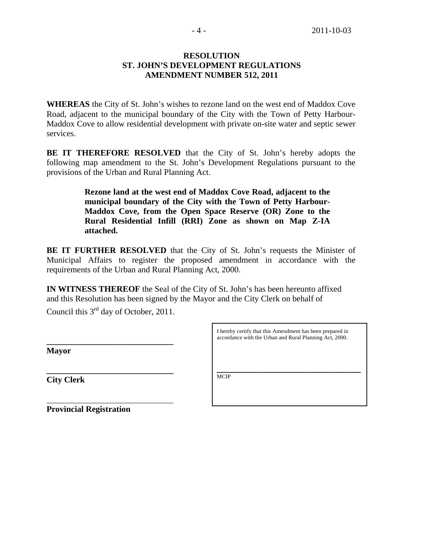# **RESOLUTION ST. JOHN'S DEVELOPMENT REGULATIONS AMENDMENT NUMBER 512, 2011**

**WHEREAS** the City of St. John's wishes to rezone land on the west end of Maddox Cove Road, adjacent to the municipal boundary of the City with the Town of Petty Harbour-Maddox Cove to allow residential development with private on-site water and septic sewer services.

**BE IT THEREFORE RESOLVED** that the City of St. John's hereby adopts the following map amendment to the St. John's Development Regulations pursuant to the provisions of the Urban and Rural Planning Act.

> **Rezone land at the west end of Maddox Cove Road, adjacent to the municipal boundary of the City with the Town of Petty Harbour-Maddox Cove, from the Open Space Reserve (OR) Zone to the Rural Residential Infill (RRI) Zone as shown on Map Z-IA attached.**

**BE IT FURTHER RESOLVED** that the City of St. John's requests the Minister of Municipal Affairs to register the proposed amendment in accordance with the requirements of the Urban and Rural Planning Act, 2000.

**IN WITNESS THEREOF** the Seal of the City of St. John's has been hereunto affixed and this Resolution has been signed by the Mayor and the City Clerk on behalf of

Council this 3<sup>rd</sup> day of October, 2011.

**\_\_\_\_\_\_\_\_\_\_\_\_\_\_\_\_\_\_\_\_\_\_\_\_\_\_\_\_\_\_** 

**\_\_\_\_\_\_\_\_\_\_\_\_\_\_\_\_\_\_\_\_\_\_\_\_\_\_\_\_\_\_** 

**Mayor** 

 $\overline{a}$ 

**City Clerk** MCIP

**Provincial Registration** 

I hereby certify that this Amendment has been prepared in accordance with the Urban and Rural Planning Act, 2000.

\_\_\_\_\_\_\_\_\_\_\_\_\_\_\_\_\_\_\_\_\_\_\_\_\_\_\_\_\_\_\_\_\_\_\_\_\_\_\_\_\_\_\_\_\_\_\_\_\_\_\_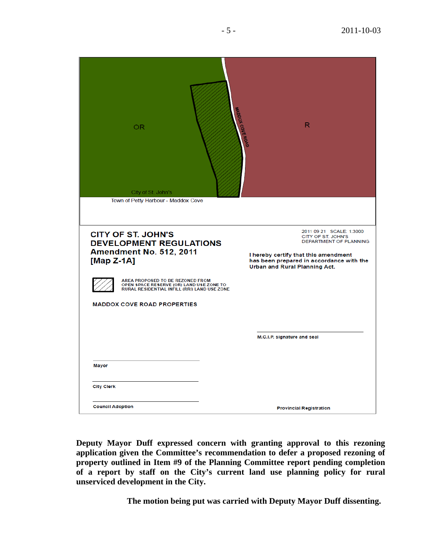| OR<br>City of St. John's<br>Town of Petty Harbour - Maddox Cove                                                              | <b>INADDOX COVE ROAD</b><br>R                                                                                                                                                                 |
|------------------------------------------------------------------------------------------------------------------------------|-----------------------------------------------------------------------------------------------------------------------------------------------------------------------------------------------|
| <b>CITY OF ST. JOHN'S</b><br><b>DEVELOPMENT REGULATIONS</b><br>Amendment No. 512, 2011<br>[Map $Z-1A$ ]                      | 2011 09 21 SCALE: 1:3000<br>CITY OF ST. JOHN'S<br>DEPARTMENT OF PLANNING<br>I hereby certify that this amendment<br>has been prepared in accordance with the<br>Urban and Rural Planning Act. |
| AREA PROPOSED TO BE REZONED FROM<br>OPEN SPACE RESERVE (OR) LAND USE ZONE TO<br>RURAL RESIDENTIAL INFILL (RRI) LAND USE ZONE |                                                                                                                                                                                               |
| <b>MADDOX COVE ROAD PROPERTIES</b>                                                                                           |                                                                                                                                                                                               |
|                                                                                                                              | M.C.I.P. signature and seal                                                                                                                                                                   |
| <b>Mayor</b>                                                                                                                 |                                                                                                                                                                                               |
| <b>City Clerk</b>                                                                                                            |                                                                                                                                                                                               |
| <b>Council Adoption</b>                                                                                                      | <b>Provincial Registration</b>                                                                                                                                                                |

**Deputy Mayor Duff expressed concern with granting approval to this rezoning application given the Committee's recommendation to defer a proposed rezoning of property outlined in Item #9 of the Planning Committee report pending completion of a report by staff on the City's current land use planning policy for rural unserviced development in the City.** 

**The motion being put was carried with Deputy Mayor Duff dissenting.**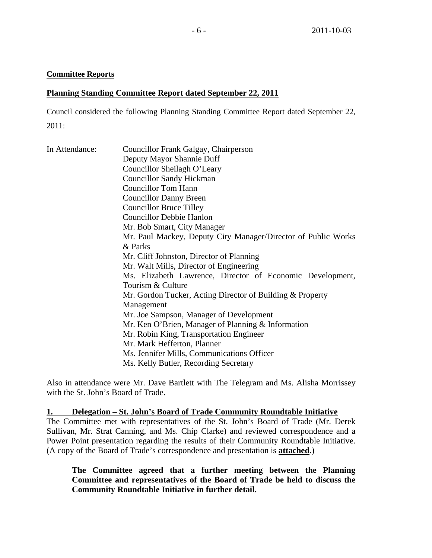### **Committee Reports**

### **Planning Standing Committee Report dated September 22, 2011**

Council considered the following Planning Standing Committee Report dated September 22, 2011:

| In Attendance: | Councillor Frank Galgay, Chairperson                          |  |  |  |
|----------------|---------------------------------------------------------------|--|--|--|
|                | Deputy Mayor Shannie Duff                                     |  |  |  |
|                | Councillor Sheilagh O'Leary                                   |  |  |  |
|                | <b>Councillor Sandy Hickman</b>                               |  |  |  |
|                | <b>Councillor Tom Hann</b>                                    |  |  |  |
|                | <b>Councillor Danny Breen</b>                                 |  |  |  |
|                | <b>Councillor Bruce Tilley</b>                                |  |  |  |
|                | <b>Councillor Debbie Hanlon</b>                               |  |  |  |
|                | Mr. Bob Smart, City Manager                                   |  |  |  |
|                | Mr. Paul Mackey, Deputy City Manager/Director of Public Works |  |  |  |
|                | & Parks                                                       |  |  |  |
|                | Mr. Cliff Johnston, Director of Planning                      |  |  |  |
|                | Mr. Walt Mills, Director of Engineering                       |  |  |  |
|                | Ms. Elizabeth Lawrence, Director of Economic Development,     |  |  |  |
|                | Tourism & Culture                                             |  |  |  |
|                | Mr. Gordon Tucker, Acting Director of Building & Property     |  |  |  |
|                | Management                                                    |  |  |  |
|                | Mr. Joe Sampson, Manager of Development                       |  |  |  |
|                | Mr. Ken O'Brien, Manager of Planning & Information            |  |  |  |
|                | Mr. Robin King, Transportation Engineer                       |  |  |  |
|                | Mr. Mark Hefferton, Planner                                   |  |  |  |
|                | Ms. Jennifer Mills, Communications Officer                    |  |  |  |
|                | Ms. Kelly Butler, Recording Secretary                         |  |  |  |

Also in attendance were Mr. Dave Bartlett with The Telegram and Ms. Alisha Morrissey with the St. John's Board of Trade.

**1. Delegation – St. John's Board of Trade Community Roundtable Initiative** The Committee met with representatives of the St. John's Board of Trade (Mr. Derek Sullivan, Mr. Strat Canning, and Ms. Chip Clarke) and reviewed correspondence and a Power Point presentation regarding the results of their Community Roundtable Initiative. (A copy of the Board of Trade's correspondence and presentation is **attached**.)

**The Committee agreed that a further meeting between the Planning Committee and representatives of the Board of Trade be held to discuss the Community Roundtable Initiative in further detail.**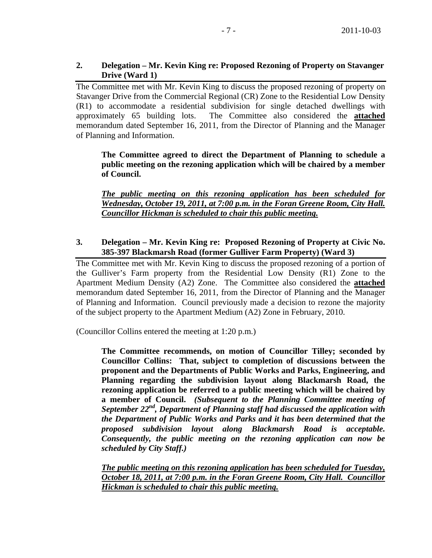# **2. Delegation – Mr. Kevin King re: Proposed Rezoning of Property on Stavanger Drive (Ward 1)**

The Committee met with Mr. Kevin King to discuss the proposed rezoning of property on Stavanger Drive from the Commercial Regional (CR) Zone to the Residential Low Density (R1) to accommodate a residential subdivision for single detached dwellings with approximately 65 building lots. The Committee also considered the **attached** memorandum dated September 16, 2011, from the Director of Planning and the Manager of Planning and Information.

**The Committee agreed to direct the Department of Planning to schedule a public meeting on the rezoning application which will be chaired by a member of Council.** 

*The public meeting on this rezoning application has been scheduled for Wednesday, October 19, 2011, at 7:00 p.m. in the Foran Greene Room, City Hall. Councillor Hickman is scheduled to chair this public meeting.*

# **3. Delegation – Mr. Kevin King re: Proposed Rezoning of Property at Civic No. 385-397 Blackmarsh Road (former Gulliver Farm Property) (Ward 3)**

The Committee met with Mr. Kevin King to discuss the proposed rezoning of a portion of the Gulliver's Farm property from the Residential Low Density (R1) Zone to the Apartment Medium Density (A2) Zone. The Committee also considered the **attached** memorandum dated September 16, 2011, from the Director of Planning and the Manager of Planning and Information. Council previously made a decision to rezone the majority of the subject property to the Apartment Medium (A2) Zone in February, 2010.

(Councillor Collins entered the meeting at 1:20 p.m.)

**The Committee recommends, on motion of Councillor Tilley; seconded by Councillor Collins: That, subject to completion of discussions between the proponent and the Departments of Public Works and Parks, Engineering, and Planning regarding the subdivision layout along Blackmarsh Road, the rezoning application be referred to a public meeting which will be chaired by a member of Council.** *(Subsequent to the Planning Committee meeting of September 22nd, Department of Planning staff had discussed the application with the Department of Public Works and Parks and it has been determined that the proposed subdivision layout along Blackmarsh Road is acceptable. Consequently, the public meeting on the rezoning application can now be scheduled by City Staff.)* 

*The public meeting on this rezoning application has been scheduled for Tuesday, October 18, 2011, at 7:00 p.m. in the Foran Greene Room, City Hall. Councillor Hickman is scheduled to chair this public meeting.*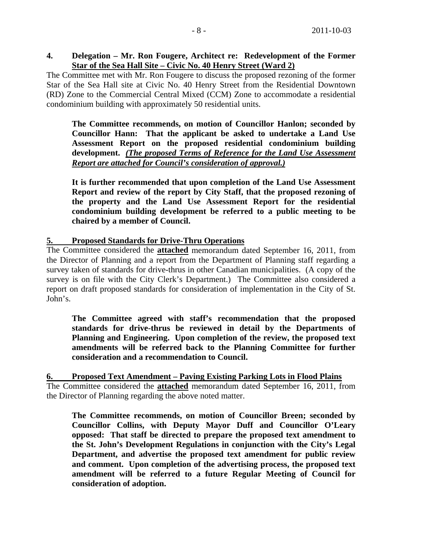## **4. Delegation – Mr. Ron Fougere, Architect re: Redevelopment of the Former Star of the Sea Hall Site – Civic No. 40 Henry Street (Ward 2)**

The Committee met with Mr. Ron Fougere to discuss the proposed rezoning of the former Star of the Sea Hall site at Civic No. 40 Henry Street from the Residential Downtown (RD) Zone to the Commercial Central Mixed (CCM) Zone to accommodate a residential condominium building with approximately 50 residential units.

**The Committee recommends, on motion of Councillor Hanlon; seconded by Councillor Hann: That the applicant be asked to undertake a Land Use Assessment Report on the proposed residential condominium building development.** *(The proposed Terms of Reference for the Land Use Assessment Report are attached for Council's consideration of approval.)*

 **It is further recommended that upon completion of the Land Use Assessment Report and review of the report by City Staff, that the proposed rezoning of the property and the Land Use Assessment Report for the residential condominium building development be referred to a public meeting to be chaired by a member of Council.** 

# **5. Proposed Standards for Drive-Thru Operations**

The Committee considered the **attached** memorandum dated September 16, 2011, from the Director of Planning and a report from the Department of Planning staff regarding a survey taken of standards for drive-thrus in other Canadian municipalities. (A copy of the survey is on file with the City Clerk's Department.) The Committee also considered a report on draft proposed standards for consideration of implementation in the City of St. John's.

**The Committee agreed with staff's recommendation that the proposed standards for drive-thrus be reviewed in detail by the Departments of Planning and Engineering. Upon completion of the review, the proposed text amendments will be referred back to the Planning Committee for further consideration and a recommendation to Council.**

**6. Proposed Text Amendment – Paving Existing Parking Lots in Flood Plains** The Committee considered the **attached** memorandum dated September 16, 2011, from the Director of Planning regarding the above noted matter.

**The Committee recommends, on motion of Councillor Breen; seconded by Councillor Collins, with Deputy Mayor Duff and Councillor O'Leary opposed: That staff be directed to prepare the proposed text amendment to the St. John's Development Regulations in conjunction with the City's Legal Department, and advertise the proposed text amendment for public review and comment. Upon completion of the advertising process, the proposed text amendment will be referred to a future Regular Meeting of Council for consideration of adoption.**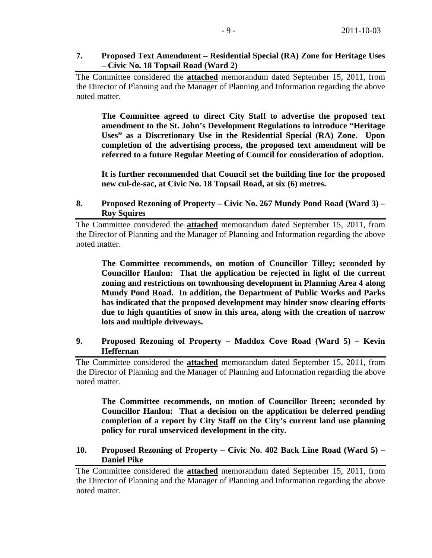# **7. Proposed Text Amendment – Residential Special (RA) Zone for Heritage Uses – Civic No. 18 Topsail Road (Ward 2)**

The Committee considered the **attached** memorandum dated September 15, 2011, from the Director of Planning and the Manager of Planning and Information regarding the above noted matter.

**The Committee agreed to direct City Staff to advertise the proposed text amendment to the St. John's Development Regulations to introduce "Heritage Uses" as a Discretionary Use in the Residential Special (RA) Zone. Upon completion of the advertising process, the proposed text amendment will be referred to a future Regular Meeting of Council for consideration of adoption.** 

**It is further recommended that Council set the building line for the proposed new cul-de-sac, at Civic No. 18 Topsail Road, at six (6) metres.**

# **8. Proposed Rezoning of Property – Civic No. 267 Mundy Pond Road (Ward 3) – Roy Squires**

The Committee considered the **attached** memorandum dated September 15, 2011, from the Director of Planning and the Manager of Planning and Information regarding the above noted matter.

**The Committee recommends, on motion of Councillor Tilley; seconded by Councillor Hanlon: That the application be rejected in light of the current zoning and restrictions on townhousing development in Planning Area 4 along Mundy Pond Road. In addition, the Department of Public Works and Parks has indicated that the proposed development may hinder snow clearing efforts due to high quantities of snow in this area, along with the creation of narrow lots and multiple driveways.** 

# **9. Proposed Rezoning of Property – Maddox Cove Road (Ward 5) – Kevin Heffernan**

The Committee considered the **attached** memorandum dated September 15, 2011, from the Director of Planning and the Manager of Planning and Information regarding the above noted matter.

**The Committee recommends, on motion of Councillor Breen; seconded by Councillor Hanlon: That a decision on the application be deferred pending completion of a report by City Staff on the City's current land use planning policy for rural unserviced development in the city.**

# **10. Proposed Rezoning of Property – Civic No. 402 Back Line Road (Ward 5) – Daniel Pike**

The Committee considered the **attached** memorandum dated September 15, 2011, from the Director of Planning and the Manager of Planning and Information regarding the above noted matter.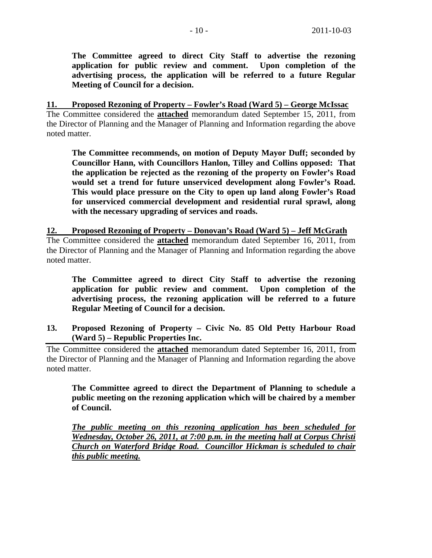**The Committee agreed to direct City Staff to advertise the rezoning application for public review and comment. Upon completion of the advertising process, the application will be referred to a future Regular Meeting of Council for a decision.** 

**11. Proposed Rezoning of Property – Fowler's Road (Ward 5) – George McIssac** The Committee considered the **attached** memorandum dated September 15, 2011, from the Director of Planning and the Manager of Planning and Information regarding the above noted matter.

**The Committee recommends, on motion of Deputy Mayor Duff; seconded by Councillor Hann, with Councillors Hanlon, Tilley and Collins opposed: That the application be rejected as the rezoning of the property on Fowler's Road would set a trend for future unserviced development along Fowler's Road. This would place pressure on the City to open up land along Fowler's Road for unserviced commercial development and residential rural sprawl, along with the necessary upgrading of services and roads.** 

**12. Proposed Rezoning of Property – Donovan's Road (Ward 5) – Jeff McGrath** The Committee considered the **attached** memorandum dated September 16, 2011, from the Director of Planning and the Manager of Planning and Information regarding the above noted matter.

**The Committee agreed to direct City Staff to advertise the rezoning application for public review and comment. Upon completion of the advertising process, the rezoning application will be referred to a future Regular Meeting of Council for a decision.**

**13. Proposed Rezoning of Property – Civic No. 85 Old Petty Harbour Road (Ward 5) – Republic Properties Inc.** 

The Committee considered the **attached** memorandum dated September 16, 2011, from the Director of Planning and the Manager of Planning and Information regarding the above noted matter.

**The Committee agreed to direct the Department of Planning to schedule a public meeting on the rezoning application which will be chaired by a member of Council.** 

*The public meeting on this rezoning application has been scheduled for Wednesday, October 26, 2011, at 7:00 p.m. in the meeting hall at Corpus Christi Church on Waterford Bridge Road. Councillor Hickman is scheduled to chair this public meeting.*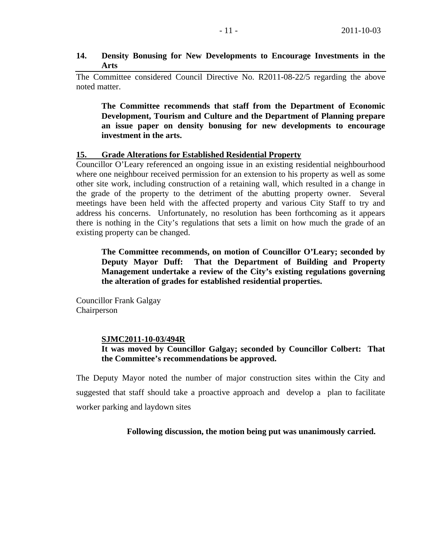### **14. Density Bonusing for New Developments to Encourage Investments in the Arts**

The Committee considered Council Directive No. R2011-08-22/5 regarding the above noted matter.

**The Committee recommends that staff from the Department of Economic Development, Tourism and Culture and the Department of Planning prepare an issue paper on density bonusing for new developments to encourage investment in the arts.** 

### **15. Grade Alterations for Established Residential Property**

Councillor O'Leary referenced an ongoing issue in an existing residential neighbourhood where one neighbour received permission for an extension to his property as well as some other site work, including construction of a retaining wall, which resulted in a change in the grade of the property to the detriment of the abutting property owner. Several meetings have been held with the affected property and various City Staff to try and address his concerns. Unfortunately, no resolution has been forthcoming as it appears there is nothing in the City's regulations that sets a limit on how much the grade of an existing property can be changed.

**The Committee recommends, on motion of Councillor O'Leary; seconded by Deputy Mayor Duff: That the Department of Building and Property Management undertake a review of the City's existing regulations governing the alteration of grades for established residential properties.** 

Councillor Frank Galgay Chairperson

### **SJMC2011-10-03/494R**

# **It was moved by Councillor Galgay; seconded by Councillor Colbert: That the Committee's recommendations be approved.**

The Deputy Mayor noted the number of major construction sites within the City and suggested that staff should take a proactive approach and develop a plan to facilitate worker parking and laydown sites

 **Following discussion, the motion being put was unanimously carried.**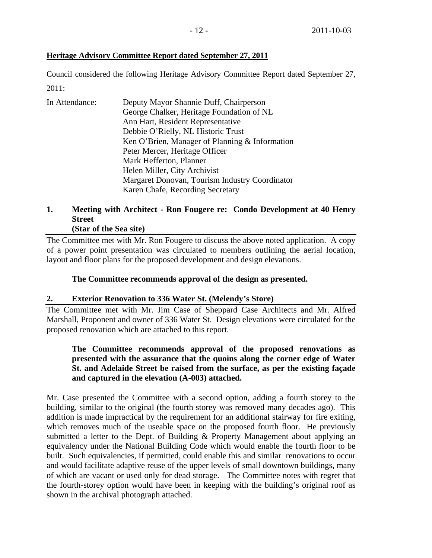# **Heritage Advisory Committee Report dated September 27, 2011**

Council considered the following Heritage Advisory Committee Report dated September 27, 2011:

| In Attendance: | Deputy Mayor Shannie Duff, Chairperson         |
|----------------|------------------------------------------------|
|                | George Chalker, Heritage Foundation of NL      |
|                | Ann Hart, Resident Representative              |
|                | Debbie O'Rielly, NL Historic Trust             |
|                | Ken O'Brien, Manager of Planning & Information |
|                | Peter Mercer, Heritage Officer                 |
|                | Mark Hefferton, Planner                        |
|                | Helen Miller, City Archivist                   |
|                | Margaret Donovan, Tourism Industry Coordinator |
|                | Karen Chafe, Recording Secretary               |

# **1. Meeting with Architect - Ron Fougere re: Condo Development at 40 Henry Street**

# **(Star of the Sea site)**

The Committee met with Mr. Ron Fougere to discuss the above noted application. A copy of a power point presentation was circulated to members outlining the aerial location, layout and floor plans for the proposed development and design elevations.

# **The Committee recommends approval of the design as presented.**

# **2. Exterior Renovation to 336 Water St. (Melendy's Store)**

The Committee met with Mr. Jim Case of Sheppard Case Architects and Mr. Alfred Marshall, Proponent and owner of 336 Water St. Design elevations were circulated for the proposed renovation which are attached to this report.

# **The Committee recommends approval of the proposed renovations as presented with the assurance that the quoins along the corner edge of Water St. and Adelaide Street be raised from the surface, as per the existing façade and captured in the elevation (A-003) attached.**

Mr. Case presented the Committee with a second option, adding a fourth storey to the building, similar to the original (the fourth storey was removed many decades ago). This addition is made impractical by the requirement for an additional stairway for fire exiting, which removes much of the useable space on the proposed fourth floor. He previously submitted a letter to the Dept. of Building & Property Management about applying an equivalency under the National Building Code which would enable the fourth floor to be built. Such equivalencies, if permitted, could enable this and similar renovations to occur and would facilitate adaptive reuse of the upper levels of small downtown buildings, many of which are vacant or used only for dead storage. The Committee notes with regret that the fourth-storey option would have been in keeping with the building's original roof as shown in the archival photograph attached.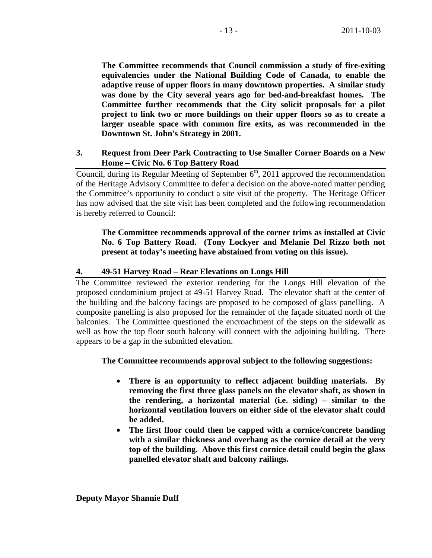**The Committee recommends that Council commission a study of fire-exiting equivalencies under the National Building Code of Canada, to enable the adaptive reuse of upper floors in many downtown properties. A similar study was done by the City several years ago for bed-and-breakfast homes. The Committee further recommends that the City solicit proposals for a pilot project to link two or more buildings on their upper floors so as to create a larger useable space with common fire exits, as was recommended in the Downtown St. John's Strategy in 2001.**

# **3. Request from Deer Park Contracting to Use Smaller Corner Boards on a New Home – Civic No. 6 Top Battery Road**

Council, during its Regular Meeting of September  $6<sup>th</sup>$ , 2011 approved the recommendation of the Heritage Advisory Committee to defer a decision on the above-noted matter pending the Committee's opportunity to conduct a site visit of the property. The Heritage Officer has now advised that the site visit has been completed and the following recommendation is hereby referred to Council:

**The Committee recommends approval of the corner trims as installed at Civic No. 6 Top Battery Road. (Tony Lockyer and Melanie Del Rizzo both not present at today's meeting have abstained from voting on this issue).** 

# **4. 49-51 Harvey Road – Rear Elevations on Longs Hill**

The Committee reviewed the exterior rendering for the Longs Hill elevation of the proposed condominium project at 49-51 Harvey Road. The elevator shaft at the center of the building and the balcony facings are proposed to be composed of glass panelling. A composite panelling is also proposed for the remainder of the façade situated north of the balconies. The Committee questioned the encroachment of the steps on the sidewalk as well as how the top floor south balcony will connect with the adjoining building. There appears to be a gap in the submitted elevation.

**The Committee recommends approval subject to the following suggestions:** 

- **There is an opportunity to reflect adjacent building materials. By removing the first three glass panels on the elevator shaft, as shown in the rendering, a horizontal material (i.e. siding) – similar to the horizontal ventilation louvers on either side of the elevator shaft could be added.**
- **The first floor could then be capped with a cornice/concrete banding with a similar thickness and overhang as the cornice detail at the very top of the building. Above this first cornice detail could begin the glass panelled elevator shaft and balcony railings.**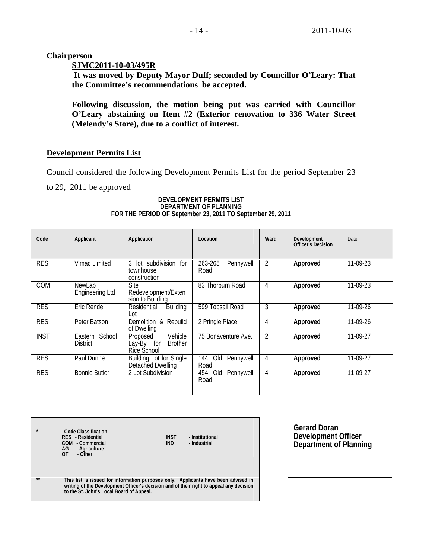**Chairperson** 

## **SJMC2011-10-03/495R**

 **It was moved by Deputy Mayor Duff; seconded by Councillor O'Leary: That the Committee's recommendations be accepted.** 

**Following discussion, the motion being put was carried with Councillor O'Leary abstaining on Item #2 (Exterior renovation to 336 Water Street (Melendy's Store), due to a conflict of interest.** 

# **Development Permits List**

Council considered the following Development Permits List for the period September 23

to 29, 2011 be approved

| Code        | Applicant                         | Application                                                           | Location                        | Ward           | Development<br><b>Officer's Decision</b> | Date     |
|-------------|-----------------------------------|-----------------------------------------------------------------------|---------------------------------|----------------|------------------------------------------|----------|
| <b>RES</b>  | Vimac Limited                     | lot subdivision for<br>3<br>townhouse<br>construction                 | 263-265<br>Pennywell<br>Road    | $\overline{2}$ | Approved                                 | 11-09-23 |
| <b>COM</b>  | NewLab<br><b>Engineering Ltd</b>  | <b>Site</b><br>Redevelopment/Exten<br>sion to Building                | 83 Thorburn Road                | 4              | Approved                                 | 11-09-23 |
| <b>RES</b>  | Eric Rendell                      | Building<br>Residential<br>Lot                                        | 599 Topsail Road                | 3              | Approved                                 | 11-09-26 |
| <b>RES</b>  | Peter Batson                      | Demolition & Rebuild<br>of Dwelling                                   | 2 Pringle Place                 | 4              | Approved                                 | 11-09-26 |
| <b>INST</b> | Eastern School<br><b>District</b> | Vehicle<br>Proposed<br>Lay-By<br>for<br><b>Brother</b><br>Rice School | 75 Bonaventure Ave.             | 2              | Approved                                 | 11-09-27 |
| <b>RES</b>  | Paul Dunne                        | <b>Building Lot for Single</b><br>Detached Dwelling                   | 144<br>Old<br>Pennywell<br>Road | 4              | Approved                                 | 11-09-27 |
| <b>RES</b>  | <b>Bonnie Butler</b>              | 2 Lot Subdivision                                                     | 454 Old<br>Pennywell<br>Road    | 4              | Approved                                 | 11-09-27 |
|             |                                   |                                                                       |                                 |                |                                          |          |

#### **DEVELOPMENT PERMITS LIST DEPARTMENT OF PLANNING FOR THE PERIOD OF September 23, 2011 TO September 29, 2011**

| $\bullet$ | Code Classification:<br>RES - Residential<br>COM - Commercial<br>AG<br>- Agriculture<br>- Other<br>0T                                                                                                                     | <b>INST</b><br><b>IND</b> | - Institutional<br>- Industrial |
|-----------|---------------------------------------------------------------------------------------------------------------------------------------------------------------------------------------------------------------------------|---------------------------|---------------------------------|
| $\pm\pm$  | This list is issued for information purposes only. Applicants have been advised in<br>writing of the Development Officer's decision and of their right to appeal any decision<br>to the St. John's Local Board of Appeal. |                           |                                 |
|           |                                                                                                                                                                                                                           |                           |                                 |

**Gerard Doran Development Officer Department of Planning**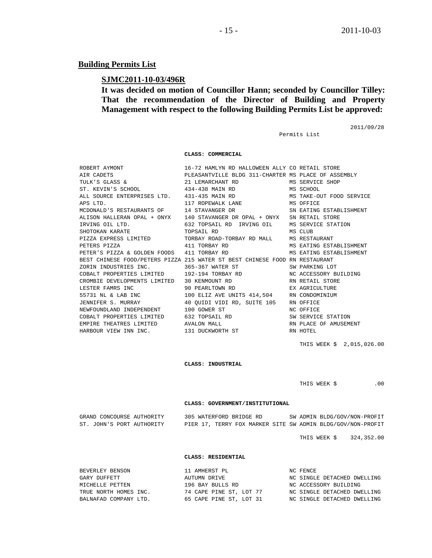# **Building Permits List**

# **SJMC2011-10-03/496R**

**It was decided on motion of Councillor Hann; seconded by Councillor Tilley: That the recommendation of the Director of Building and Property Management with respect to the following Building Permits List be approved:** 

Permits List

2011/09/28

 **CLASS: COMMERCIAL** 

|          | ST. KEVIN'S SCHOOL 434-438 MAIN RD MS SCHOOL                                                                                                                                                               |                           |
|----------|------------------------------------------------------------------------------------------------------------------------------------------------------------------------------------------------------------|---------------------------|
|          | ALL SOURCE ENTERPRISES LTD. 431-435 MAIN RD MS TAKE-OUT FOOD SERVICE                                                                                                                                       |                           |
| APS LTD. | 117 ROPEWALK LANE MS OFFICE                                                                                                                                                                                |                           |
|          | MCDONALD'S RESTAURANTS OF 14 STAVANGER DR SN EATING ESTABLISHMENT                                                                                                                                          |                           |
|          | ALISON HALLERAN OPAL + ONYX 140 STAVANGER DR OPAL + ONYX SN RETAIL STORE                                                                                                                                   |                           |
|          |                                                                                                                                                                                                            |                           |
|          |                                                                                                                                                                                                            |                           |
|          | PIZZA EXPRESS LIMITED TORBAY ROAD-TORBAY RD MALL MS RESTAURANT                                                                                                                                             |                           |
|          |                                                                                                                                                                                                            |                           |
|          |                                                                                                                                                                                                            |                           |
|          | BEST CHINESE FOOD/PETERS PIZZA 215 WATER ST BEST CHINESE FOOD RN RESTAURANT                                                                                                                                |                           |
|          | ZORIN INDUSTRIES INC. 365-367 WATER ST SW PARKING LOT                                                                                                                                                      |                           |
|          | COBALT PROPERTIES LIMITED 192-194 TORBAY RD NC ACCESSORY BUILDING                                                                                                                                          |                           |
|          |                                                                                                                                                                                                            |                           |
|          |                                                                                                                                                                                                            |                           |
|          | 55731 NL & LAB INC $100$ ELIZ AVE UNITS 414,504 RN CONDOMINIUM                                                                                                                                             |                           |
|          | JENNIFER S. MURRAY 40 QUIDI VIDI RD, SUITE 105 RN OFFICE                                                                                                                                                   |                           |
|          | NEWFOUNDLAND INDEPENDENT 100 GOWER ST NC OFFICE                                                                                                                                                            |                           |
|          |                                                                                                                                                                                                            |                           |
|          | ${\tt COBALT\ PROPERTIES\ LIMITED}\qquad {\tt 632\ TOPSAIL\ RD}\qquad {\tt SN\ SERVICE\ STATION}\nonumber\\ {\tt EMPIRE\ THEATRES\ LIMITED}\qquad {\tt AVALOM\ MALL}\qquad {\tt NN\ PLACE\ OF\ AMUSEMENT}$ |                           |
|          | HARBOUR VIEW INN INC. 131 DUCKWORTH ST RN HOTEL                                                                                                                                                            |                           |
|          |                                                                                                                                                                                                            |                           |
|          |                                                                                                                                                                                                            | THIS WEEK \$ 2,015,026.00 |
|          |                                                                                                                                                                                                            |                           |
|          |                                                                                                                                                                                                            |                           |

 **CLASS: INDUSTRIAL** 

THIS WEEK  $\zeta$  .00

#### **CLASS: GOVERNMENT/INSTITUTIONAL**

| GRAND CONCOURSE AUTHORITY | 305 WATERFORD BRIDGE RD                                     | SW ADMIN BLDG/GOV/NON-PROFIT |
|---------------------------|-------------------------------------------------------------|------------------------------|
| ST. JOHN'S PORT AUTHORITY | PIER 17, TERRY FOX MARKER SITE SW ADMIN BLDG/GOV/NON-PROFIT |                              |

THIS WEEK \$ 324,352.00

#### **CLASS: RESIDENTIAL**

| BEVERLEY BENSON       | 11 AMHERST PL           | NC FENCE                    |
|-----------------------|-------------------------|-----------------------------|
| GARY DUFFETT          | AUTUMN DRIVE            | NC SINGLE DETACHED DWELLING |
| MICHELLE PETTEN       | 196 BAY BULLS RD        | NC ACCESSORY BUILDING       |
| TRUE NORTH HOMES INC. | 74 CAPE PINE ST, LOT 77 | NC SINGLE DETACHED DWELLING |
| BALNAFAD COMPANY LTD. | 65 CAPE PINE ST, LOT 31 | NC SINGLE DETACHED DWELLING |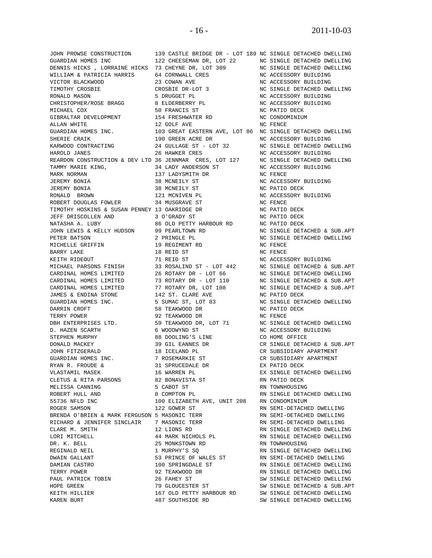JOHN PROWSE CONSTRUCTION 139 CASTLE BRIDGE DR - LOT 189 NC SINGLE DETACHED DWELLING GUARDIAN HOMES INC 122 CHEESEMAN DR, LOT 22 NC SINGLE DETACHED DWELLING<br>DENNIS HICKS , LORRAINE HICKS 73 CHEYNE DR, LOT 309 NC SINGLE DETACHED DWELLING GUARDIAN HOMES INC<br>DENNIS HICKS , LORRAINE HICKS 73 CHEYNE DR, LOT 309 NC SINGLE DETACHED DWE<br>WILLIAM & PATRICIA HARRIS 64 CORNWALL CRES NC ACCESSORY BUILDING WILLIAM & PATRICIA HARRIS 64 CORNWALL CRES VICTOR BLACKWOOD 23 COWAN AVE NC ACCESSORY BUILDING TIMOTHY CROSBIE CROSBIE DR-LOT 3 NC SINGLE DETACHED DWELLING RONALD MASON 6 1999 S DRUGGET PL 1999 NC ACCESSORY BUILDING CHRISTOPHER/ROSE BRAGG 8 ELDERBERRY PL NC ACCESSORY BUILDING MICHAEL COX 50 FRANCIS ST NC PATIO DECK GIBRALTAR DEVELOPMENT 154 FRESHWATER RD NC CONDOMINIUM ALLAN WHITE THE RESERVE AND LOCAL AND MONEY AND MONEY AND MONEY AND MONEY AND MONEY AND MONEY AND MONEY AND MONEY AND MONEY AND MONEY AND MONEY AND MONEY AND MONEY AND MONEY AND MONEY AND MONEY AND MONEY AND MONEY AND MONE GUARDIAN HOMES INC. 103 GREAT EASTERN AVE, LOT 86 NC SINGLE DETACHED DWELLING SHERIE CRAIK 190 GREEN ACRE DR NC ACCESSORY BUILDING KARWOOD CONTRACTING  $24$  GULLAGE ST - LOT 32 NC SINGLE DETACHED DWELLING HAROLD JANES 26 HAWKER CRES NC ACCESSORY BUILDING REARDON CONSTRUCTION & DEV LTD 36 JENNMAR CRES, LOT 127 NC SINGLE DETACHED DWELLING TAMMY MARIE KING, 34 LADY ANDERSON ST NC ACCESSORY BUILDING MARK NORMAN 137 LADYSMITH DR NC FENCE JEREMY BONIA 38 MCNEILY ST NC ACCESSORY BUILDING JEREMY BONIA 38 MCNEILY ST NC PATIO DECK RONALD BROWN 121 MCNIVEN PL NC ACCESSORY BUILDING ROBERT DOUGLAS FOWLER 34 MUSGRAVE ST NC FENCE TIMOTHY HOSKINS & SUSAN PENNEY 13 OAKRIDGE DR NC PATIO DECK JEFF DRISCOLLEN AND 3 O'GRADY ST NC PATIO DECK NATASHA A. LUBY 86 OLD PETTY HARBOUR RD<br>JOHN LEWIS & KELLY HUDSON 99 PEARLTOWN RD JOHN LEWIS & KELLY HUDSON 99 PEARLTOWN RD NC SINGLE DETACHED & SUB.APT PETER BATSON 2 PRINGLE PL NC SINGLE DETACHED DWELLING MICHELLE GRIFFIN 19 REGIMENT RD NC FENCE BARRY LAKE 18 REID ST NC FENCE KEITH RIDEOUT 71 REID ST NC ACCESSORY BUILDING MICHAEL PARSONS FINISH 33 ROSALIND ST - LOT 442 NC SINGLE DETACHED & SUB.APT CARDINAL HOMES LIMITED 26 ROTARY DR - LOT 66 NC SINGLE DETACHED DWELLING CARDINAL HOMES LIMITED 73 ROTARY DR - LOT 110 NC SINGLE DETACHED & SUB.APT CARDINAL HOMES LIMITED 77 ROTARY DR, LOT 108 NC SINGLE DETACHED & SUB.APT JAMES & ENDINA STONE 142 ST. CLARE AVE NC PATIO DECK GUARDIAN HOMES INC. 5 SUMAC ST, LOT 83 NC SINGLE DETACHED DWELLING DARRIN CROFT 58 TEAKWOOD DR NC PATIO DECK TERRY POWER 92 TEAKWOOD DR NC FENCE DBH ENTERPRISES LTD. 59 TEAKWOOD DR, LOT 71 NC SINGLE DETACHED DWELLING D. HAZEN SCARTH 6 WOODWYND ST NC ACCESSORY BUILDING STEPHEN MURPHY 88 DOOLING'S LINE CO HOME OFFICE DONALD MACKEY 39 GIL EANNES DR CR SINGLE DETACHED & SUB.APT JOHN FITZGERALD 18 ICELAND PL CR SUBSIDIARY APARTMENT GUARDIAN HOMES INC. 7 ROSEMARKIE ST CR SUBSIDIARY APARTMENT RYAN R. FROUDE & 31 SPRUCEDALE DR EX PATIO DECK VLASTAMIL MASEK 16 WARREN PL EX SINGLE DETACHED DWELLING CLETUS & RITA PARSONS 82 BONAVISTA ST RN PATIO DECK MELISSA CANNING  $\begin{array}{ccc} 5 & CABOT & ST & \phantom{3} & \phantom{3} & \phantom{3} & \phantom{3} & \phantom{3} & \phantom{3} & \phantom{3} & \phantom{3} & \phantom{3} & \phantom{3} & \phantom{3} & \phantom{3} & \phantom{3} & \phantom{3} & \phantom{3} & \phantom{3} & \phantom{3} & \phantom{3} & \phantom{3} & \phantom{3} & \phantom{3} & \phantom{3} & \phantom{3} & \phantom{3} & \phantom{3} & \phantom{3} & \phantom{3} &$ ROBERT HULL AND  $\begin{array}{ccc} 8 & \text{COMPTON} & \text{PL} \end{array}$  RN SINGLE DETACHED DWELLING 55736 NFLD INC 100 ELIZABETH AVE, UNIT 208 RN CONDOMINIUM ROGER SAMSON 122 GOWER ST BRENDA O'BRIEN & MARK FERGUSON 5 MASONIC TERR RN SEMI-DETACHED DWELLING RICHARD & JENNIFER SINCLAIR 7 MASONIC TERR RN SEMI-DETACHED DWELLING CLARE M. SMITH 12 LIONS RD RN SINGLE DETACHED DWELLING LORI MITCHELL **44 MARK NICHOLS PL** RN SINGLE DETACHED DWELLING DR. K. BELL 25 MONKSTOWN RD RN TOWNHOUSING REGINALD NEIL 1 MURPHY'S SQ RN SINGLE DETACHED DWELLING DWAIN GALLANT 653 PRINCE OF WALES ST RN SEMI-DETACHED DWELLING DAMIAN CASTRO 100 SPRINGDALE ST RN SINGLE DETACHED DWELLING TERRY POWER 92 TEAKWOOD DR RN SINGLE DETACHED DWELLING PAUL PATRICK TOBIN 26 FAHEY ST SW SINGLE DETACHED DWELLING HOPE GREEN 79 GLOUCESTER ST SW SINGLE DETACHED & SUB.APT KEITH HILLIER 167 OLD PETTY HARBOUR RD SW SINGLE DETACHED DWELLING

KAREN BURT 487 SOUTHSIDE RD SW SINGLE DETACHED DWELLING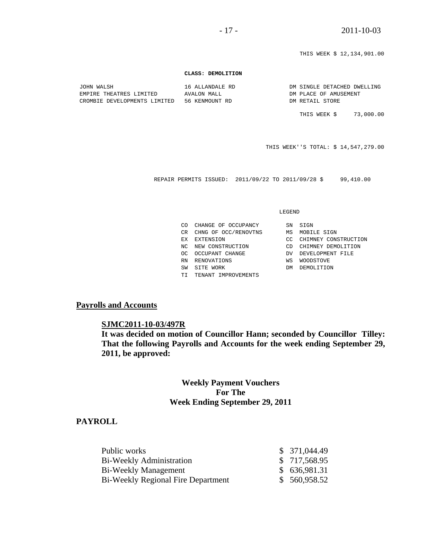THIS WEEK \$ 12,134,901.00

#### **CLASS: DEMOLITION**

| JOHN WALSH                   | 16 ALLANDALE RD | DM SINGLE DETACHED DWELLING |
|------------------------------|-----------------|-----------------------------|
| EMPIRE THEATRES LIMITED      | AVALON MALL     | DM PLACE OF AMUSEMENT       |
| CROMBIE DEVELOPMENTS LIMITED | 56 KENMOUNT RD  | DM RETAIL STORE             |

THIS WEEK \$ 73,000.00

THIS WEEK''S TOTAL: \$ 14,547,279.00

REPAIR PERMITS ISSUED: 2011/09/22 TO 2011/09/28 \$ 99,410.00

#### LEGEND

| സ   | CHANGE OF OCCUPANCY  | SN  | SIGN                 |
|-----|----------------------|-----|----------------------|
| CR. | CHNG OF OCC/RENOVTNS | МS  | MOBILE SIGN          |
| ЕX  | EXTENSION            | CC. | CHIMNEY CONSTRUCTION |
| NC. | NEW CONSTRUCTION     | CD  | CHIMNEY DEMOLITION   |
| റല  | OCCUPANT CHANGE      | DV. | DEVELOPMENT FILE     |
| RN  | RENOVATIONS          | WS  | <b>WOODSTOVE</b>     |
| SW  | SITE WORK            | DМ  | DEMOLITION           |
|     | TENANT IMPROVEMENTS  |     |                      |

### **Payrolls and Accounts**

### **SJMC2011-10-03/497R**

**It was decided on motion of Councillor Hann; seconded by Councillor Tilley: That the following Payrolls and Accounts for the week ending September 29, 2011, be approved:** 

# **Weekly Payment Vouchers For The Week Ending September 29, 2011**

### **PAYROLL**

| Public works                              | \$371,044.49  |
|-------------------------------------------|---------------|
| Bi-Weekly Administration                  | \$ 717,568.95 |
| Bi-Weekly Management                      | \$636,981.31  |
| <b>Bi-Weekly Regional Fire Department</b> | \$ 560,958.52 |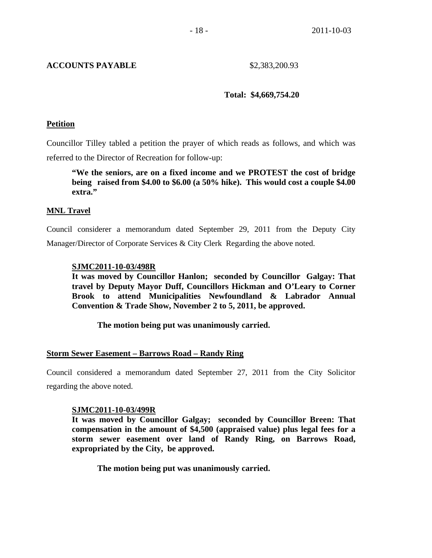# **ACCOUNTS PAYABLE** \$2,383,200.93

### **Total: \$4,669,754.20**

### **Petition**

Councillor Tilley tabled a petition the prayer of which reads as follows, and which was referred to the Director of Recreation for follow-up:

 **"We the seniors, are on a fixed income and we PROTEST the cost of bridge being raised from \$4.00 to \$6.00 (a 50% hike). This would cost a couple \$4.00 extra."** 

### **MNL Travel**

Council considerer a memorandum dated September 29, 2011 from the Deputy City Manager/Director of Corporate Services & City Clerk Regarding the above noted.

### **SJMC2011-10-03/498R**

**It was moved by Councillor Hanlon; seconded by Councillor Galgay: That travel by Deputy Mayor Duff, Councillors Hickman and O'Leary to Corner Brook to attend Municipalities Newfoundland & Labrador Annual Convention & Trade Show, November 2 to 5, 2011, be approved.** 

 **The motion being put was unanimously carried.** 

# **Storm Sewer Easement – Barrows Road – Randy Ring**

Council considered a memorandum dated September 27, 2011 from the City Solicitor regarding the above noted.

### **SJMC2011-10-03/499R**

**It was moved by Councillor Galgay; seconded by Councillor Breen: That compensation in the amount of \$4,500 (appraised value) plus legal fees for a storm sewer easement over land of Randy Ring, on Barrows Road, expropriated by the City, be approved.** 

 **The motion being put was unanimously carried.**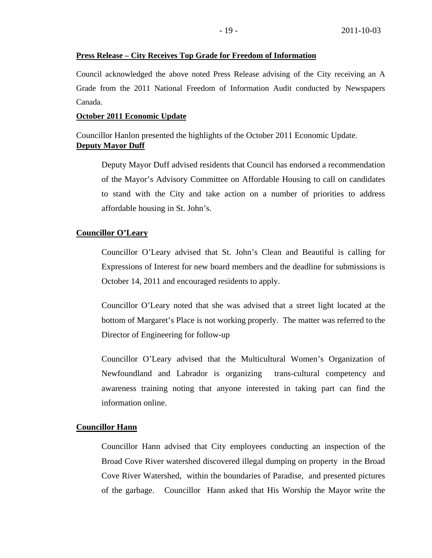### **Press Release – City Receives Top Grade for Freedom of Information**

Council acknowledged the above noted Press Release advising of the City receiving an A Grade from the 2011 National Freedom of Information Audit conducted by Newspapers Canada.

### **October 2011 Economic Update**

Councillor Hanlon presented the highlights of the October 2011 Economic Update. **Deputy Mayor Duff**

Deputy Mayor Duff advised residents that Council has endorsed a recommendation of the Mayor's Advisory Committee on Affordable Housing to call on candidates to stand with the City and take action on a number of priorities to address affordable housing in St. John's.

### Councillor O'Leary

Councillor O'Leary advised that St. John's Clean and Beautiful is calling for Expressions of Interest for new board members and the deadline for submissions is October 14, 2011 and encouraged residents to apply.

Councillor O'Leary noted that she was advised that a street light located at the bottom of Margaret's Place is not working properly. The matter was referred to the Director of Engineering for follow-up

Councillor O'Leary advised that the Multicultural Women's Organization of Newfoundland and Labrador is organizing trans-cultural competency and awareness training noting that anyone interested in taking part can find the information online.

### **Councillor Hann**

Councillor Hann advised that City employees conducting an inspection of the Broad Cove River watershed discovered illegal dumping on property in the Broad Cove River Watershed, within the boundaries of Paradise, and presented pictures of the garbage. Councillor Hann asked that His Worship the Mayor write the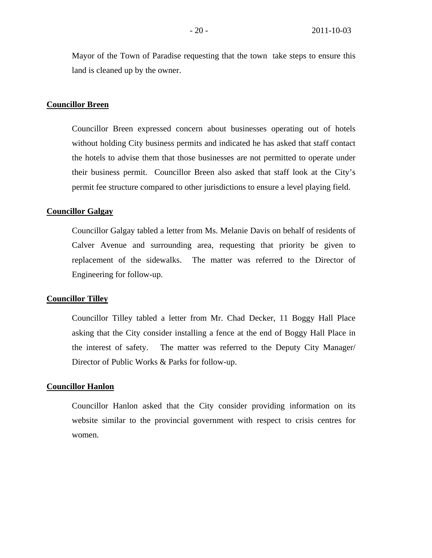Mayor of the Town of Paradise requesting that the town take steps to ensure this land is cleaned up by the owner.

### **Councillor Breen**

Councillor Breen expressed concern about businesses operating out of hotels without holding City business permits and indicated he has asked that staff contact the hotels to advise them that those businesses are not permitted to operate under their business permit. Councillor Breen also asked that staff look at the City's permit fee structure compared to other jurisdictions to ensure a level playing field.

### **Councillor Galgay**

Councillor Galgay tabled a letter from Ms. Melanie Davis on behalf of residents of Calver Avenue and surrounding area, requesting that priority be given to replacement of the sidewalks. The matter was referred to the Director of Engineering for follow-up.

### **Councillor Tilley**

Councillor Tilley tabled a letter from Mr. Chad Decker, 11 Boggy Hall Place asking that the City consider installing a fence at the end of Boggy Hall Place in the interest of safety. The matter was referred to the Deputy City Manager/ Director of Public Works & Parks for follow-up.

### **Councillor Hanlon**

Councillor Hanlon asked that the City consider providing information on its website similar to the provincial government with respect to crisis centres for women.